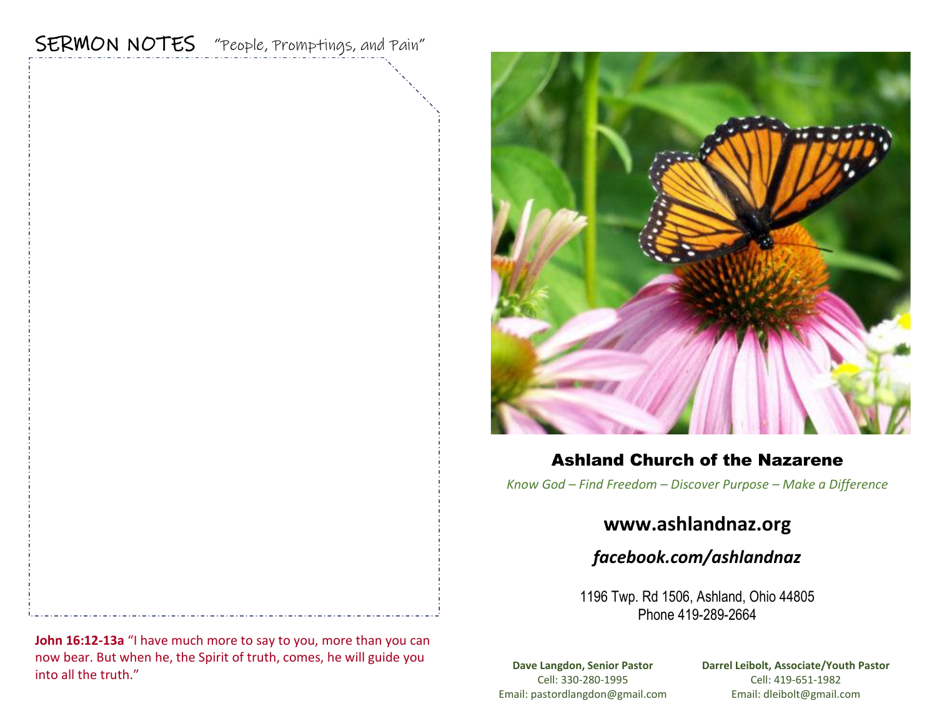# SERMON NOTES "People, Promptings, and Pain"



## Ashland Church of the Nazarene

*Know God – Find Freedom – Discover Purpose – Make a Difference*

## **www.ashlandnaz.org**

*facebook.com/ashlandnaz*

1196 Twp. Rd 1506, Ashland, Ohio 44805 Phone 419-289-2664

**Dave Langdon, Senior Pastor** Cell: 330-280-1995 Email: pastordlangdon@gmail.com **Darrel Leibolt, Associate/Youth Pastor** Cell: 419-651-1982 Email: dleibolt@gmail.com

**John 16:12-13a** "I have much more to say to you, more than you can now bear. But when he, the Spirit of truth, comes, he will guide you into all the truth."